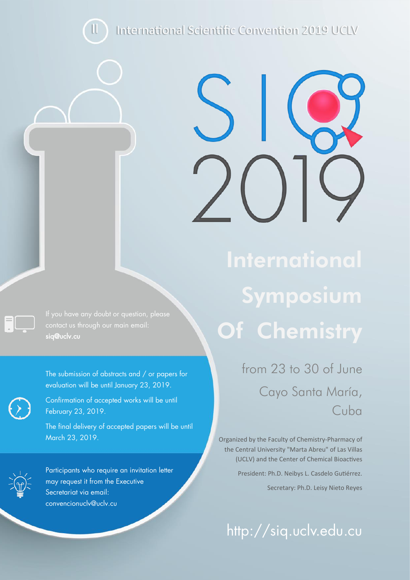International Scientific Convention 2019 UCLV

contact us through our main email: [siq@uclv.cu](mailto:siq@uclv.cu)

II

The submission of abstracts and / or papers for evaluation will be until January 23, 2019.



Confirmation of accepted works will be until February 23, 2019.

The final delivery of accepted papers will be until March 23, 2019.

Participants who require an invitation letter may request it from the Executive Secretariat via email: [convencionuclv@uclv.cu](mailto:convencionuclv@uclv.cu) 

# **International** Symposium Of Chemistry

from 23 to 30 of June Cayo Santa María, Cuba

Organized by the Faculty of Chemistry-Pharmacy of the Central University "Marta Abreu" of Las Villas (UCLV) and the Center of Chemical Bioactives President: Ph.D. Neibys L. Casdelo Gutiérrez.

Secretary: Ph.D. Leisy Nieto Reyes

http://siq.uclv.edu.cu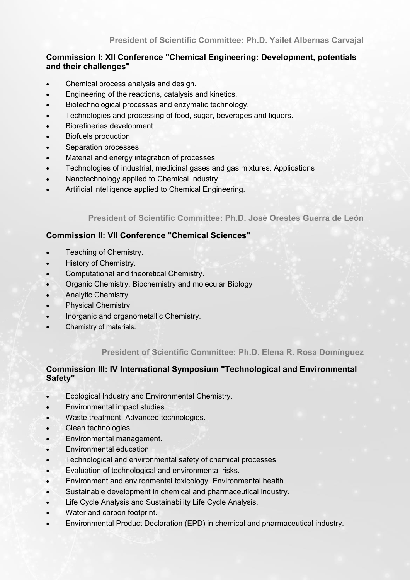## **Commission I: XII Conference "Chemical Engineering: Development, potentials and their challenges"**

- Chemical process analysis and design.
- Engineering of the reactions, catalysis and kinetics.
- Biotechnological processes and enzymatic technology.
- Technologies and processing of food, sugar, beverages and liquors.
- Biorefineries development.
- Biofuels production.
- Separation processes.
- Material and energy integration of processes.
- Technologies of industrial, medicinal gases and gas mixtures. Applications
- Nanotechnology applied to Chemical Industry.
- Artificial intelligence applied to Chemical Engineering.

### **President of Scientific Committee: Ph.D. José Orestes Guerra de León**

### **Commission II: VII Conference "Chemical Sciences"**

- Teaching of Chemistry.
- History of Chemistry.
- Computational and theoretical Chemistry.
- Organic Chemistry, Biochemistry and molecular Biology
- Analytic Chemistry.
- Physical Chemistry
- Inorganic and organometallic Chemistry.
- Chemistry of materials.

### **President of Scientific Committee: Ph.D. Elena R. Rosa Domínguez**

#### **Commission III: IV International Symposium "Technological and Environmental Safety"**

- Ecological Industry and Environmental Chemistry.
- Environmental impact studies.
- Waste treatment. Advanced technologies.
- Clean technologies.
- Environmental management.
- Environmental education.
- Technological and environmental safety of chemical processes.
- Evaluation of technological and environmental risks.
- Environment and environmental toxicology. Environmental health.
- Sustainable development in chemical and pharmaceutical industry.
- Life Cycle Analysis and Sustainability Life Cycle Analysis.
- Water and carbon footprint.
- Environmental Product Declaration (EPD) in chemical and pharmaceutical industry.